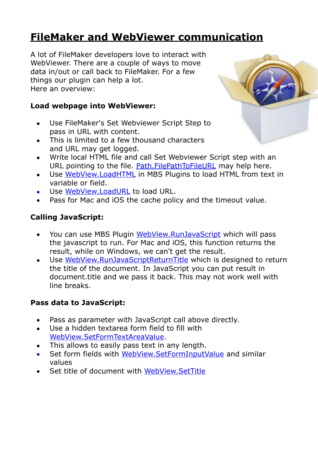# **[FileMaker and WebViewer communication](https://www.mbs-plugins.com/archive/2018-08-24/FileMaker_and_WebViewer_commun/monkeybreadsoftware_blog_filemaker)**

A lot of FileMaker developers love to interact with WebViewer. There are a couple of ways to move data in/out or call back to FileMaker. For a few things our plugin can help a lot. Here an overview:

#### **Load webpage into WebViewer:**

- Use FileMaker's Set Webviewer Script Step to pass in URL with content.
- This is limited to a few thousand characters and URL may get logged.
- Write local HTML file and call Set Webviewer Script step with an URL pointing to the file. [Path.FilePathToFileURL](http://www.mbsplugins.eu/PathFilePathToFileURL.shtml) may help here.
- Use [WebView.LoadHTML](http://www.mbsplugins.eu/WebViewLoadHTML.shtml) in MBS Plugins to load HTML from text in variable or field.
- Use [WebView.LoadURL](http://www.mbsplugins.eu/WebViewLoadURL.shtml) to load URL.
- Pass for Mac and iOS the cache policy and the timeout value.

### **Calling JavaScript:**

- You can use MBS Plugin [WebView.RunJavaScript](http://www.mbsplugins.eu/WebViewRunJavaScript.shtml) which will pass the javascript to run. For Mac and iOS, this function returns the result, while on Windows, we can't get the result.
- Use [WebView.RunJavaScriptReturnTitle](http://www.mbsplugins.eu/WebViewRunJavaScriptReturnTitle.shtml) which is designed to return the title of the document. In JavaScript you can put result in document.title and we pass it back. This may not work well with line breaks.

#### **Pass data to JavaScript:**

- Pass as parameter with JavaScript call above directly.
- Use a hidden textarea form field to fill with [WebView.SetFormTextAreaValue](http://www.mbsplugins.eu/WebViewSetFormTextAreaValue.shtml).
- This allows to easily pass text in any length.
- Set form fields with [WebView.SetFormInputValue](http://www.mbsplugins.eu/WebViewSetFormInputValue.shtml) and similar values
- Set title of document with [WebView.SetTitle](http://www.mbsplugins.eu/WebViewSetTitle.shtml)